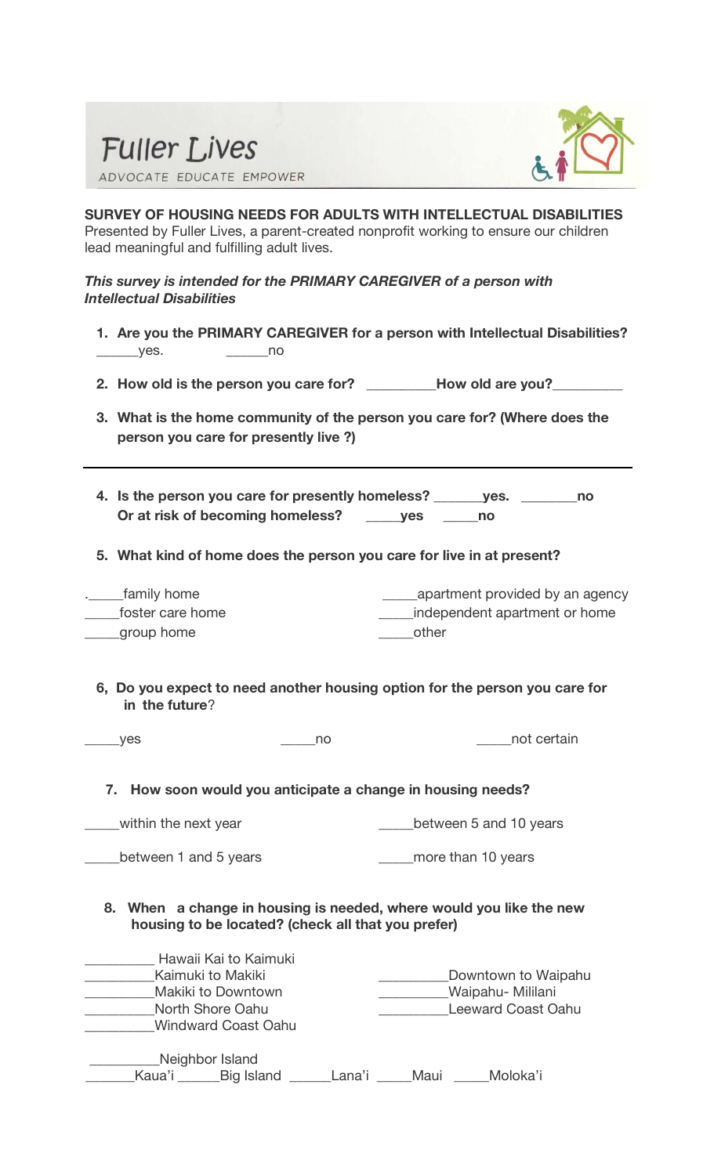



**SURVEY OF HOUSING NEEDS FOR ADULTS WITH INTELLECTUAL DISABILITIES** Presented by Fuller Lives, a parent-created nonprofit working to ensure our children lead meaningful and fulfilling adult lives.

## *This survey is intended for the PRIMARY CAREGIVER of a person with Intellectual Disabilities*

- **1. Are you the PRIMARY CAREGIVER for a person with Intellectual Disabilities? \_\_\_\_\_\_**yes. **\_\_\_\_\_\_**no
- **2. How old is the person you care for? \_\_\_\_\_\_\_\_\_\_How old are you?\_\_\_\_\_\_\_\_\_\_**
- **3. What is the home community of the person you care for? (Where does the person you care for presently live ?)**
- **4. Is the person you care for presently homeless? \_\_\_\_\_\_\_yes. \_\_\_\_\_\_\_\_no Or at risk of becoming homeless? \_\_\_\_\_yes \_\_\_\_\_no**
- **5. What kind of home does the person you care for live in at present?**

| _family home     | apartment provided by an agency |
|------------------|---------------------------------|
| foster care home | independent apartment or home   |
| _group home      | other                           |

 **6, Do you expect to need another housing option for the person you care for in the future**?

| $\rule{1em}{0.15mm}$ yes | no | not certain |
|--------------------------|----|-------------|
|                          |    |             |

## **7. How soon would you anticipate a change in housing needs?**

\_\_\_\_\_within the next year \_\_\_\_\_between 5 and 10 years

\_\_\_\_\_between 1 and 5 years

| ars | more than 10 years |  |
|-----|--------------------|--|
|     |                    |  |

**8. When a change in housing is needed, where would you like the new housing to be located? (check all that you prefer)**

|        | Hawaii Kai to Kaimuki      |        |      |                     |  |
|--------|----------------------------|--------|------|---------------------|--|
|        | Kaimuki to Makiki          |        |      | Downtown to Waipahu |  |
|        | Makiki to Downtown         |        |      | Waipahu- Mililani   |  |
|        | North Shore Oahu           |        |      | Leeward Coast Oahu  |  |
|        | <b>Windward Coast Oahu</b> |        |      |                     |  |
|        | Neighbor Island            |        |      |                     |  |
| Kaua'i | Big Island                 | Lana'i | Maui | Moloka'i            |  |